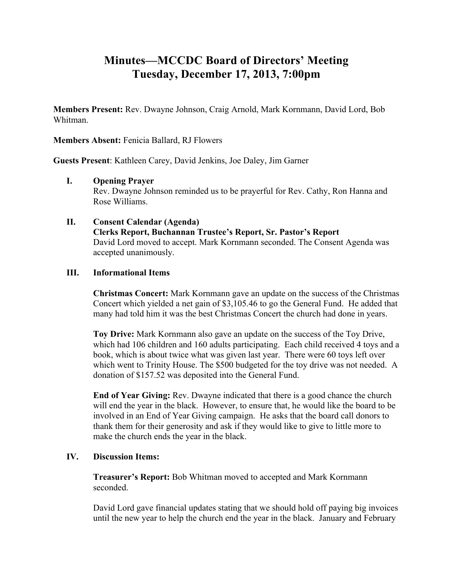## **Minutes—MCCDC Board of Directors' Meeting Tuesday, December 17, 2013, 7:00pm**

**Members Present:** Rev. Dwayne Johnson, Craig Arnold, Mark Kornmann, David Lord, Bob Whitman.

**Members Absent:** Fenicia Ballard, RJ Flowers

**Guests Present**: Kathleen Carey, David Jenkins, Joe Daley, Jim Garner

**I. Opening Prayer**

Rev. Dwayne Johnson reminded us to be prayerful for Rev. Cathy, Ron Hanna and Rose Williams.

**II. Consent Calendar (Agenda) Clerks Report, Buchannan Trustee's Report, Sr. Pastor's Report** David Lord moved to accept. Mark Kornmann seconded. The Consent Agenda was accepted unanimously.

## **III. Informational Items**

**Christmas Concert:** Mark Kornmann gave an update on the success of the Christmas Concert which yielded a net gain of \$3,105.46 to go the General Fund. He added that many had told him it was the best Christmas Concert the church had done in years.

**Toy Drive:** Mark Kornmann also gave an update on the success of the Toy Drive, which had 106 children and 160 adults participating. Each child received 4 toys and a book, which is about twice what was given last year. There were 60 toys left over which went to Trinity House. The \$500 budgeted for the toy drive was not needed. A donation of \$157.52 was deposited into the General Fund.

**End of Year Giving:** Rev. Dwayne indicated that there is a good chance the church will end the year in the black. However, to ensure that, he would like the board to be involved in an End of Year Giving campaign. He asks that the board call donors to thank them for their generosity and ask if they would like to give to little more to make the church ends the year in the black.

## **IV. Discussion Items:**

**Treasurer's Report:** Bob Whitman moved to accepted and Mark Kornmann seconded.

David Lord gave financial updates stating that we should hold off paying big invoices until the new year to help the church end the year in the black. January and February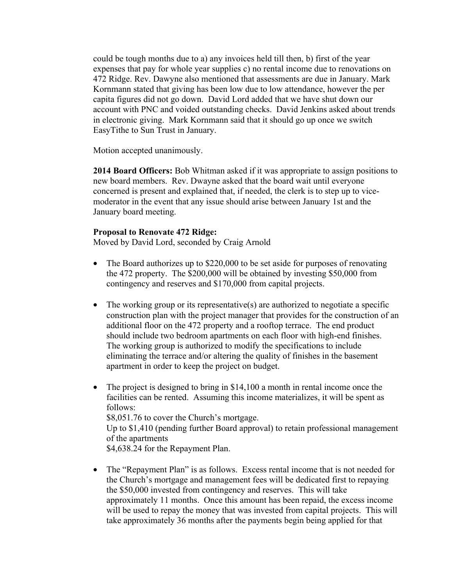could be tough months due to a) any invoices held till then, b) first of the year expenses that pay for whole year supplies c) no rental income due to renovations on 472 Ridge. Rev. Dawyne also mentioned that assessments are due in January. Mark Kornmann stated that giving has been low due to low attendance, however the per capita figures did not go down. David Lord added that we have shut down our account with PNC and voided outstanding checks. David Jenkins asked about trends in electronic giving. Mark Kornmann said that it should go up once we switch EasyTithe to Sun Trust in January.

Motion accepted unanimously.

**2014 Board Officers:** Bob Whitman asked if it was appropriate to assign positions to new board members. Rev. Dwayne asked that the board wait until everyone concerned is present and explained that, if needed, the clerk is to step up to vicemoderator in the event that any issue should arise between January 1st and the January board meeting.

## **Proposal to Renovate 472 Ridge:**

Moved by David Lord, seconded by Craig Arnold

- The Board authorizes up to \$220,000 to be set aside for purposes of renovating the 472 property. The \$200,000 will be obtained by investing \$50,000 from contingency and reserves and \$170,000 from capital projects.
- The working group or its representative(s) are authorized to negotiate a specific construction plan with the project manager that provides for the construction of an additional floor on the 472 property and a rooftop terrace. The end product should include two bedroom apartments on each floor with high-end finishes. The working group is authorized to modify the specifications to include eliminating the terrace and/or altering the quality of finishes in the basement apartment in order to keep the project on budget.
- The project is designed to bring in \$14,100 a month in rental income once the facilities can be rented. Assuming this income materializes, it will be spent as follows: \$8,051.76 to cover the Church's mortgage. Up to \$1,410 (pending further Board approval) to retain professional management of the apartments \$4,638.24 for the Repayment Plan.
- The "Repayment Plan" is as follows. Excess rental income that is not needed for the Church's mortgage and management fees will be dedicated first to repaying the \$50,000 invested from contingency and reserves. This will take approximately 11 months. Once this amount has been repaid, the excess income will be used to repay the money that was invested from capital projects. This will take approximately 36 months after the payments begin being applied for that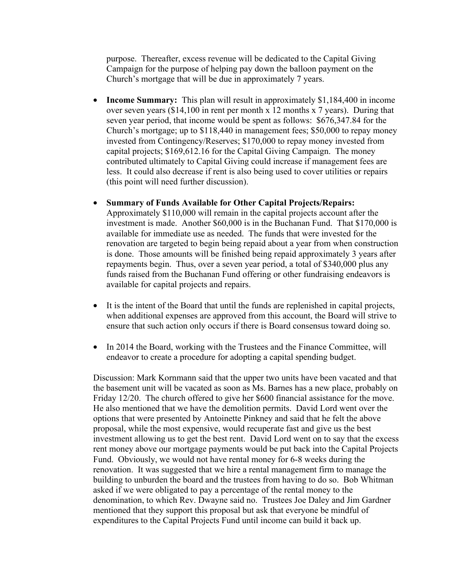purpose. Thereafter, excess revenue will be dedicated to the Capital Giving Campaign for the purpose of helping pay down the balloon payment on the Church's mortgage that will be due in approximately 7 years.

- **Income Summary:** This plan will result in approximately \$1,184,400 in income over seven years (\$14,100 in rent per month x 12 months x 7 years). During that seven year period, that income would be spent as follows: \$676,347.84 for the Church's mortgage; up to \$118,440 in management fees; \$50,000 to repay money invested from Contingency/Reserves; \$170,000 to repay money invested from capital projects; \$169,612.16 for the Capital Giving Campaign. The money contributed ultimately to Capital Giving could increase if management fees are less. It could also decrease if rent is also being used to cover utilities or repairs (this point will need further discussion).
- **Summary of Funds Available for Other Capital Projects/Repairs:**  Approximately \$110,000 will remain in the capital projects account after the investment is made. Another \$60,000 is in the Buchanan Fund. That \$170,000 is available for immediate use as needed. The funds that were invested for the renovation are targeted to begin being repaid about a year from when construction is done. Those amounts will be finished being repaid approximately 3 years after repayments begin. Thus, over a seven year period, a total of \$340,000 plus any funds raised from the Buchanan Fund offering or other fundraising endeavors is available for capital projects and repairs.
- It is the intent of the Board that until the funds are replenished in capital projects, when additional expenses are approved from this account, the Board will strive to ensure that such action only occurs if there is Board consensus toward doing so.
- In 2014 the Board, working with the Trustees and the Finance Committee, will endeavor to create a procedure for adopting a capital spending budget.

Discussion: Mark Kornmann said that the upper two units have been vacated and that the basement unit will be vacated as soon as Ms. Barnes has a new place, probably on Friday 12/20. The church offered to give her \$600 financial assistance for the move. He also mentioned that we have the demolition permits. David Lord went over the options that were presented by Antoinette Pinkney and said that he felt the above proposal, while the most expensive, would recuperate fast and give us the best investment allowing us to get the best rent. David Lord went on to say that the excess rent money above our mortgage payments would be put back into the Capital Projects Fund. Obviously, we would not have rental money for 6-8 weeks during the renovation. It was suggested that we hire a rental management firm to manage the building to unburden the board and the trustees from having to do so. Bob Whitman asked if we were obligated to pay a percentage of the rental money to the denomination, to which Rev. Dwayne said no. Trustees Joe Daley and Jim Gardner mentioned that they support this proposal but ask that everyone be mindful of expenditures to the Capital Projects Fund until income can build it back up.